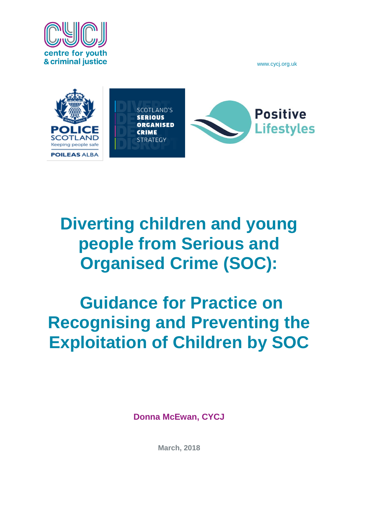



# **Diverting children and young people from Serious and Organised Crime (SOC):**

# **Guidance for Practice on Recognising and Preventing the Exploitation of Children by SOC**

**Donna McEwan, CYCJ**

**March, 2018**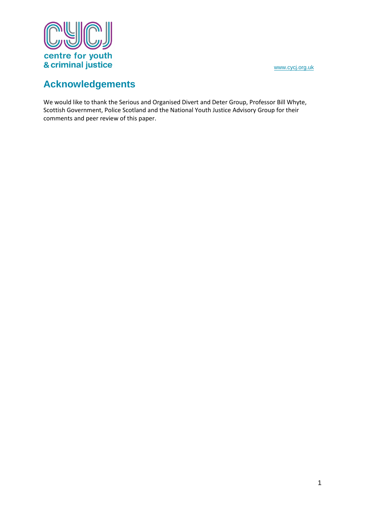



# **Acknowledgements**

We would like to thank the Serious and Organised Divert and Deter Group, Professor Bill Whyte, Scottish Government, Police Scotland and the National Youth Justice Advisory Group for their comments and peer review of this paper.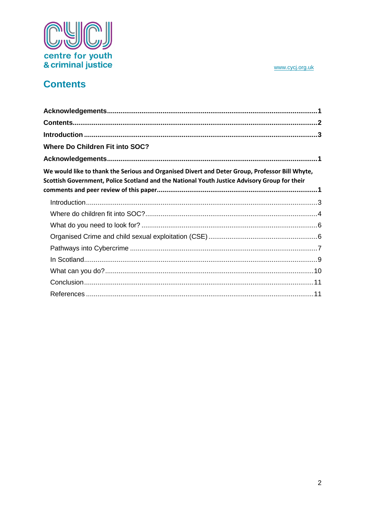

# **Contents**

| <b>Where Do Children Fit into SOC?</b>                                                                                                                                                         |  |
|------------------------------------------------------------------------------------------------------------------------------------------------------------------------------------------------|--|
|                                                                                                                                                                                                |  |
| We would like to thank the Serious and Organised Divert and Deter Group, Professor Bill Whyte,<br>Scottish Government, Police Scotland and the National Youth Justice Advisory Group for their |  |
|                                                                                                                                                                                                |  |
|                                                                                                                                                                                                |  |
|                                                                                                                                                                                                |  |
|                                                                                                                                                                                                |  |
|                                                                                                                                                                                                |  |
|                                                                                                                                                                                                |  |
|                                                                                                                                                                                                |  |
|                                                                                                                                                                                                |  |
|                                                                                                                                                                                                |  |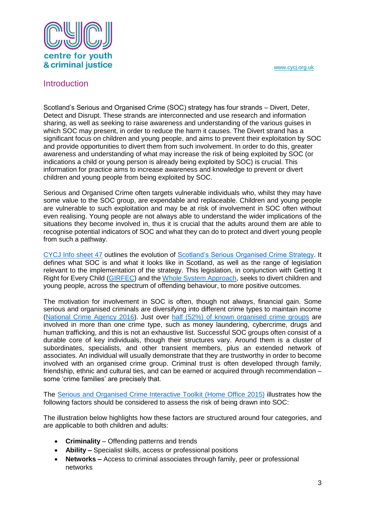

#### **Introduction**

Scotland's Serious and Organised Crime (SOC) strategy has four strands – Divert, Deter, Detect and Disrupt. These strands are interconnected and use research and information sharing, as well as seeking to raise awareness and understanding of the various guises in which SOC may present, in order to reduce the harm it causes. The Divert strand has a significant focus on children and young people, and aims to prevent their exploitation by SOC and provide opportunities to divert them from such involvement. In order to do this, greater awareness and understanding of what may increase the risk of being exploited by SOC (or indications a child or young person is already being exploited by SOC) is crucial. This information for practice aims to increase awareness and knowledge to prevent or divert children and young people from being exploited by SOC.

Serious and Organised Crime often targets vulnerable individuals who, whilst they may have some value to the SOC group, are expendable and replaceable. Children and young people are vulnerable to such exploitation and may be at risk of involvement in SOC often without even realising. Young people are not always able to understand the wider implications of the situations they become involved in, thus it is crucial that the adults around them are able to recognise potential indicators of SOC and what they can do to protect and divert young people from such a pathway.

[CYCJ Info sheet 47](http://www.cycj.org.uk/wp-content/uploads/2016/03/Info-sheet-47.pdf) outlines the evolution of [Scotland's Serious Organised Crime Strategy.](http://www.gov.scot/Resource/0047/00479632.pdf) It defines what SOC is and what it looks like in Scotland, as well as the range of legislation relevant to the implementation of the strategy. This legislation, in conjunction with Getting It Right for Every Child [\(GIRFEC\)](http://www.gov.scot/Topics/People/Young-People/gettingitright/what-is-girfec) and the [Whole System Approach,](http://www.gov.scot/Topics/Justice/policies/young-offending/whole-system-approach) seeks to divert children and young people, across the spectrum of offending behaviour, to more positive outcomes.

The motivation for involvement in SOC is often, though not always, financial gain. Some serious and organised criminals are diversifying into different crime types to maintain income [\(National Crime Agency](http://www.nationalcrimeagency.gov.uk/publications/731-national-strategic-assessment-of-serious-and-organised-crime-2016/file) 2016). Just over [half \(52%\) of known organised crime groups](http://www.nationalcrimeagency.gov.uk/publications/668-intelligence-assessment-pathways-into-serious-and-organised-crime-final/file) are involved in more than one crime type, such as money laundering, cybercrime, drugs and human trafficking, and this is not an exhaustive list. Successful SOC groups often consist of a durable core of key individuals, though their structures vary. Around them is a cluster of subordinates, specialists, and other transient members, plus an extended network of associates. An individual will usually demonstrate that they are trustworthy in order to become involved with an organised crime group. Criminal trust is often developed through family, friendship, ethnic and cultural ties, and can be earned or acquired through recommendation – some 'crime families' are precisely that.

The [Serious and Organised Crime Interactive Toolkit \(Home Office 2015\)](http://infed.org/mobi/soctoolkit/) illustrates how the following factors should be considered to assess the risk of being drawn into SOC:

The illustration below highlights how these factors are structured around four categories, and are applicable to both children and adults:

- **Criminality** Offending patterns and trends
- **Ability –** Specialist skills, access or professional positions
- **Networks –** Access to criminal associates through family, peer or professional networks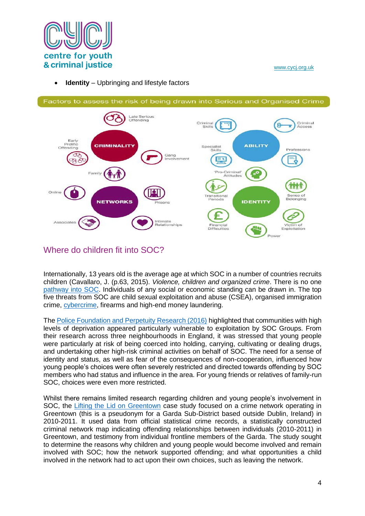

**Identity** – Upbringing and lifestyle factors



## Where do children fit into SOC?

Internationally, 13 years old is the average age at which SOC in a number of countries recruits children (Cavallaro, J. (p.63, 2015). *Violence, children and organized crime*. There is no one [pathway into SOC.](https://www.gov.uk/government/uploads/system/uploads/attachment_data/file/408585/6_162_HO_SOC_PI_Guidance_Mar2015_v10_FINAL_270215_WEB__2_.pdf) Individuals of any social or economic standing can be drawn in. The top five threats from SOC are child sexual exploitation and abuse (CSEA), organised immigration crime, [cybercrime,](http://www.nationalcrimeagency.gov.uk/publications/791-pathways-into-cyber-crime/file) firearms and high-end money laundering.

Th[e Police Foundation and Perpetuity Research \(2016\)](http://www.police-foundation.org.uk/2017/wp-content/uploads/2017/06/impact_of_oc_on_local_communities.pdf) highlighted that communities with high levels of deprivation appeared particularly vulnerable to exploitation by SOC Groups. From their research across three neighbourhoods in England, it was stressed that young people were particularly at risk of being coerced into holding, carrying, cultivating or dealing drugs, and undertaking other high-risk criminal activities on behalf of SOC. The need for a sense of identity and status, as well as fear of the consequences of non-cooperation, influenced how young people's choices were often severely restricted and directed towards offending by SOC members who had status and influence in the area. For young friends or relatives of family-run SOC, choices were even more restricted.

Whilst there remains limited research regarding children and young people's involvement in SOC, the [Lifting the Lid on Greentown](http://ulsites.ul.ie/law/sites/default/files/3910_DCYA_Greentown_%20Full%20report%20final%20version.pdf) case study focused on a crime network operating in Greentown (this is a pseudonym for a Garda Sub-District based outside Dublin, Ireland) in 2010-2011. It used data from official statistical crime records, a statistically constructed criminal network map indicating offending relationships between individuals (2010-2011) in Greentown, and testimony from individual frontline members of the Garda. The study sought to determine the reasons why children and young people would become involved and remain involved with SOC; how the network supported offending; and what opportunities a child involved in the network had to act upon their own choices, such as leaving the network.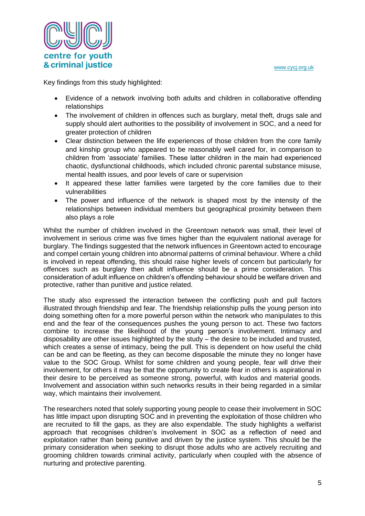

Key findings from this study highlighted:

- Evidence of a network involving both adults and children in collaborative offending relationships
- The involvement of children in offences such as burglary, metal theft, drugs sale and supply should alert authorities to the possibility of involvement in SOC, and a need for greater protection of children
- Clear distinction between the life experiences of those children from the core family and kinship group who appeared to be reasonably well cared for, in comparison to children from 'associate' families. These latter children in the main had experienced chaotic, dysfunctional childhoods, which included chronic parental substance misuse, mental health issues, and poor levels of care or supervision
- It appeared these latter families were targeted by the core families due to their vulnerabilities
- The power and influence of the network is shaped most by the intensity of the relationships between individual members but geographical proximity between them also plays a role

Whilst the number of children involved in the Greentown network was small, their level of involvement in serious crime was five times higher than the equivalent national average for burglary. The findings suggested that the network influences in Greentown acted to encourage and compel certain young children into abnormal patterns of criminal behaviour. Where a child is involved in repeat offending, this should raise higher levels of concern but particularly for offences such as burglary then adult influence should be a prime consideration. This consideration of adult influence on children's offending behaviour should be welfare driven and protective, rather than punitive and justice related.

The study also expressed the interaction between the conflicting push and pull factors illustrated through friendship and fear. The friendship relationship pulls the young person into doing something often for a more powerful person within the network who manipulates to this end and the fear of the consequences pushes the young person to act. These two factors combine to increase the likelihood of the young person's involvement. Intimacy and disposability are other issues highlighted by the study – the desire to be included and trusted, which creates a sense of intimacy, being the pull. This is dependent on how useful the child can be and can be fleeting, as they can become disposable the minute they no longer have value to the SOC Group. Whilst for some children and young people, fear will drive their involvement, for others it may be that the opportunity to create fear in others is aspirational in their desire to be perceived as someone strong, powerful, with kudos and material goods. Involvement and association within such networks results in their being regarded in a similar way, which maintains their involvement.

The researchers noted that solely supporting young people to cease their involvement in SOC has little impact upon disrupting SOC and in preventing the exploitation of those children who are recruited to fill the gaps, as they are also expendable. The study highlights a welfarist approach that recognises children's involvement in SOC as a reflection of need and exploitation rather than being punitive and driven by the justice system. This should be the primary consideration when seeking to disrupt those adults who are actively recruiting and grooming children towards criminal activity, particularly when coupled with the absence of nurturing and protective parenting.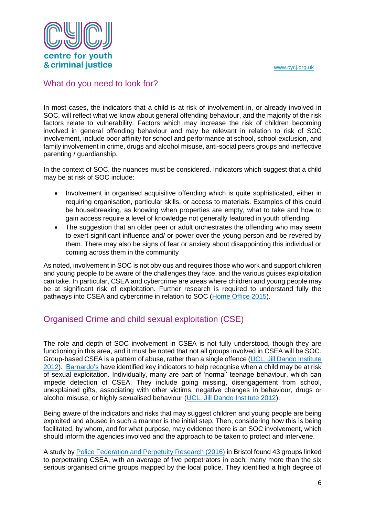

#### What do you need to look for?

In most cases, the indicators that a child is at risk of involvement in, or already involved in SOC, will reflect what we know about general offending behaviour, and the majority of the risk factors relate to vulnerability. Factors which may increase the risk of children becoming involved in general offending behaviour and may be relevant in relation to risk of SOC involvement, include poor affinity for school and performance at school, school exclusion, and family involvement in crime, drugs and alcohol misuse, anti-social peers groups and ineffective parenting / guardianship.

In the context of SOC, the nuances must be considered. Indicators which suggest that a child may be at risk of SOC include:

- Involvement in organised acquisitive offending which is quite sophisticated, either in requiring organisation, particular skills, or access to materials. Examples of this could be housebreaking, as knowing when properties are empty, what to take and how to gain access require a level of knowledge not generally featured in youth offending
- The suggestion that an older peer or adult orchestrates the offending who may seem to exert significant influence and/ or power over the young person and be revered by them. There may also be signs of fear or anxiety about disappointing this individual or coming across them in the community

As noted, involvement in SOC is not obvious and requires those who work and support children and young people to be aware of the challenges they face, and the various guises exploitation can take. In particular, CSEA and cybercrime are areas where children and young people may be at significant risk of exploitation. Further research is required to understand fully the pathways into CSEA and cybercrime in relation to SOC [\(Home Office 2015\)](http://www.nationalcrimeagency.gov.uk/publications/668-intelligence-assessment-pathways-into-serious-and-organised-crime-final/file).

## Organised Crime and child sexual exploitation (CSE)

The role and depth of SOC involvement in CSEA is not fully understood, though they are functioning in this area, and it must be noted that not all groups involved in CSEA will be SOC. Group-based CSEA is a pattern of abuse, rather than a single offence [\(UCL, Jill Dando Institute](http://www.ucl.ac.uk/jdibrief/documents/cse/GROUP_BASED_CHILD_SEXUAL_EXPLOITATION__1-5_All_.pdf)  [2012\)](http://www.ucl.ac.uk/jdibrief/documents/cse/GROUP_BASED_CHILD_SEXUAL_EXPLOITATION__1-5_All_.pdf). [Barnardo's](https://www.barnardos.org.uk/what_we_do/our_work/sexual_exploitation/about-cse/cse-spot-the-signs.htm) have identified key indicators to help recognise when a child may be at risk of sexual exploitation. Individually, many are part of 'normal' teenage behaviour, which can impede detection of CSEA. They include going missing, disengagement from school, unexplained gifts, associating with other victims, negative changes in behaviour, drugs or alcohol misuse, or highly sexualised behaviour [\(UCL, Jill Dando Institute 2012\)](http://www.ucl.ac.uk/jdibrief/documents/cse/GROUP_BASED_CHILD_SEXUAL_EXPLOITATION__1-5_All_.pdf).

Being aware of the indicators and risks that may suggest children and young people are being exploited and abused in such a manner is the initial step. Then, considering how this is being facilitated, by whom, and for what purpose, may evidence there is an SOC involvement, which should inform the agencies involved and the approach to be taken to protect and intervene.

A study by [Police Federation and Perpetuity Research \(2016\)](http://www.police-foundation.org.uk/2017/wp-content/uploads/2017/06/organised_crime_and_cse.pdf) in Bristol found 43 groups linked to perpetrating CSEA, with an average of five perpetrators in each, many more than the six serious organised crime groups mapped by the local police. They identified a high degree of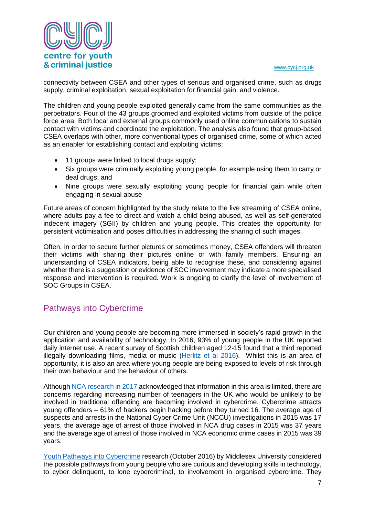

connectivity between CSEA and other types of serious and organised crime, such as drugs supply, criminal exploitation, sexual exploitation for financial gain, and violence.

The children and young people exploited generally came from the same communities as the perpetrators. Four of the 43 groups groomed and exploited victims from outside of the police force area. Both local and external groups commonly used online communications to sustain contact with victims and coordinate the exploitation. The analysis also found that group-based CSEA overlaps with other, more conventional types of organised crime, some of which acted as an enabler for establishing contact and exploiting victims:

- 11 groups were linked to local drugs supply;
- Six groups were criminally exploiting young people, for example using them to carry or deal drugs; and
- Nine groups were sexually exploiting young people for financial gain while often engaging in sexual abuse

Future areas of concern highlighted by the study relate to the live streaming of CSEA online, where adults pay a fee to direct and watch a child being abused, as well as self-generated indecent imagery (SGII) by children and young people. This creates the opportunity for persistent victimisation and poses difficulties in addressing the sharing of such images.

Often, in order to secure further pictures or sometimes money, CSEA offenders will threaten their victims with sharing their pictures online or with family members. Ensuring an understanding of CSEA indicators, being able to recognise these, and considering against whether there is a suggestion or evidence of SOC involvement may indicate a more specialised response and intervention is required. Work is ongoing to clarify the level of involvement of SOC Groups in CSEA.

## Pathways into Cybercrime

Our children and young people are becoming more immersed in society's rapid growth in the application and availability of technology. In 2016, 93% of young people in the UK reported daily internet use. A recent survey of Scottish children aged 12-15 found that a third reported illegally downloading films, media or music [\(Herlitz et al 2016\)](http://www.icpr.org.uk/media/42283/final_booklet_for_scotland_schools_18.7.16.pdf). Whilst this is an area of opportunity, it is also an area where young people are being exposed to levels of risk through their own behaviour and the behaviour of others.

Although [NCA research in 2017](http://www.nationalcrimeagency.gov.uk/publications/791-pathways-into-cyber-crime/file) acknowledged that information in this area is limited, there are concerns regarding increasing number of teenagers in the UK who would be unlikely to be involved in traditional offending are becoming involved in cybercrime. Cybercrime attracts young offenders – 61% of hackers begin hacking before they turned 16. The average age of suspects and arrests in the National Cyber Crime Unit (NCCU) investigations in 2015 was 17 years, the average age of arrest of those involved in NCA drug cases in 2015 was 37 years and the average age of arrest of those involved in NCA economic crime cases in 2015 was 39 years.

[Youth Pathways into Cybercrime](https://www.mdx.ac.uk/__data/assets/pdf_file/0025/245554/Pathways-White-Paper.pdf) research (October 2016) by Middlesex University considered the possible pathways from young people who are curious and developing skills in technology, to cyber delinquent, to lone cybercriminal, to involvement in organised cybercrime. They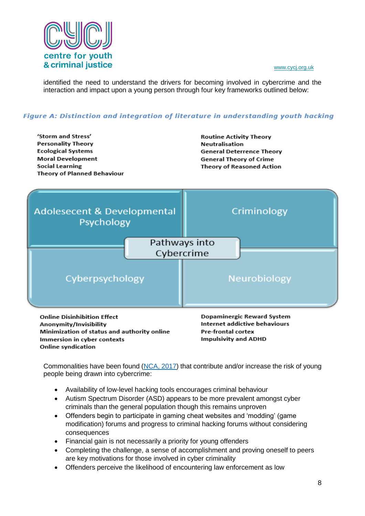

identified the need to understand the drivers for becoming involved in cybercrime and the interaction and impact upon a young person through four key frameworks outlined below:

#### Figure A: Distinction and integration of literature in understanding youth hacking



**Online Disinhibition Effect** Anonymity/Invisibility Minimization of status and authority online Immersion in cyber contexts **Online syndication** 

Dopaminergic Reward System Internet addictive behaviours Pre-frontal cortex **Impulsivity and ADHD** 

Commonalities have been found [\(NCA, 2017\)](http://www.nationalcrimeagency.gov.uk/publications/791-pathways-into-cyber-crime/file) that contribute and/or increase the risk of young people being drawn into cybercrime:

- Availability of low-level hacking tools encourages criminal behaviour
- Autism Spectrum Disorder (ASD) appears to be more prevalent amongst cyber criminals than the general population though this remains unproven
- Offenders begin to participate in gaming cheat websites and 'modding' (game modification) forums and progress to criminal hacking forums without considering consequences
- Financial gain is not necessarily a priority for young offenders
- Completing the challenge, a sense of accomplishment and proving oneself to peers are key motivations for those involved in cyber criminality
- Offenders perceive the likelihood of encountering law enforcement as low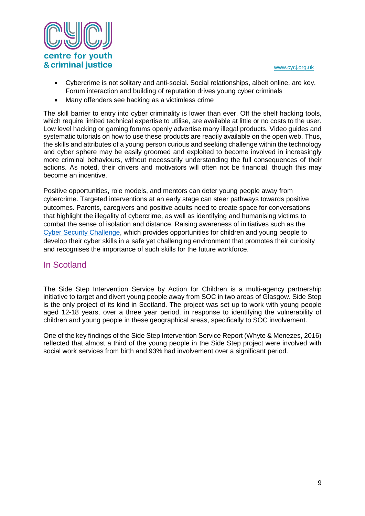

- Cybercrime is not solitary and anti-social. Social relationships, albeit online, are key. Forum interaction and building of reputation drives young cyber criminals
- Many offenders see hacking as a victimless crime

The skill barrier to entry into cyber criminality is lower than ever. Off the shelf hacking tools, which require limited technical expertise to utilise, are available at little or no costs to the user. Low level hacking or gaming forums openly advertise many illegal products. Video guides and systematic tutorials on how to use these products are readily available on the open web. Thus, the skills and attributes of a young person curious and seeking challenge within the technology and cyber sphere may be easily groomed and exploited to become involved in increasingly more criminal behaviours, without necessarily understanding the full consequences of their actions. As noted, their drivers and motivators will often not be financial, though this may become an incentive.

Positive opportunities, role models, and mentors can deter young people away from cybercrime. Targeted interventions at an early stage can steer pathways towards positive outcomes. Parents, caregivers and positive adults need to create space for conversations that highlight the illegality of cybercrime, as well as identifying and humanising victims to combat the sense of isolation and distance. Raising awareness of initiatives such as the [Cyber Security Challenge,](https://cybersecuritychallenge.org.uk/about) which provides opportunities for children and young people to develop their cyber skills in a safe yet challenging environment that promotes their curiosity and recognises the importance of such skills for the future workforce.

#### In Scotland

The Side Step Intervention Service by Action for Children is a multi-agency partnership initiative to target and divert young people away from SOC in two areas of Glasgow. Side Step is the only project of its kind in Scotland. The project was set up to work with young people aged 12-18 years, over a three year period, in response to identifying the vulnerability of children and young people in these geographical areas, specifically to SOC involvement.

One of the key findings of the Side Step Intervention Service Report (Whyte & Menezes, 2016) reflected that almost a third of the young people in the Side Step project were involved with social work services from birth and 93% had involvement over a significant period.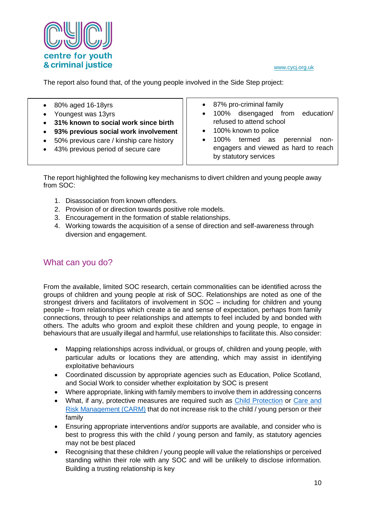

The report also found that, of the young people involved in the Side Step project:

- 80% aged 16-18yrs
- Youngest was 13yrs
- **31% known to social work since birth**
- **93% previous social work involvement**
- 50% previous care / kinship care history
- 43% previous period of secure care
- 87% pro-criminal family
- 100% disengaged from education/ refused to attend school
- 100% known to police
- 100% termed as perennial nonengagers and viewed as hard to reach by statutory services

The report highlighted the following key mechanisms to divert children and young people away from SOC:

- 1. Disassociation from known offenders.
- 2. Provision of or direction towards positive role models.
- 3. Encouragement in the formation of stable relationships.
- 4. Working towards the acquisition of a sense of direction and self-awareness through diversion and engagement.

### What can you do?

From the available, limited SOC research, certain commonalities can be identified across the groups of children and young people at risk of SOC. Relationships are noted as one of the strongest drivers and facilitators of involvement in SOC – including for children and young people – from relationships which create a tie and sense of expectation, perhaps from family connections, through to peer relationships and attempts to feel included by and bonded with others. The adults who groom and exploit these children and young people, to engage in behaviours that are usually illegal and harmful, use relationships to facilitate this. Also consider:

- Mapping relationships across individual, or groups of, children and young people, with particular adults or locations they are attending, which may assist in identifying exploitative behaviours
- Coordinated discussion by appropriate agencies such as Education, Police Scotland, and Social Work to consider whether exploitation by SOC is present
- Where appropriate, linking with family members to involve them in addressing concerns
- What, if any, protective measures are required such as [Child Protection](http://www.gov.scot/Resource/0045/00450733.pdf) or Care and [Risk Management \(CARM\)](http://www.gov.scot/Resource/0046/00466882.pdf) that do not increase risk to the child / young person or their family
- Ensuring appropriate interventions and/or supports are available, and consider who is best to progress this with the child / young person and family, as statutory agencies may not be best placed
- Recognising that these children / young people will value the relationships or perceived standing within their role with any SOC and will be unlikely to disclose information. Building a trusting relationship is key